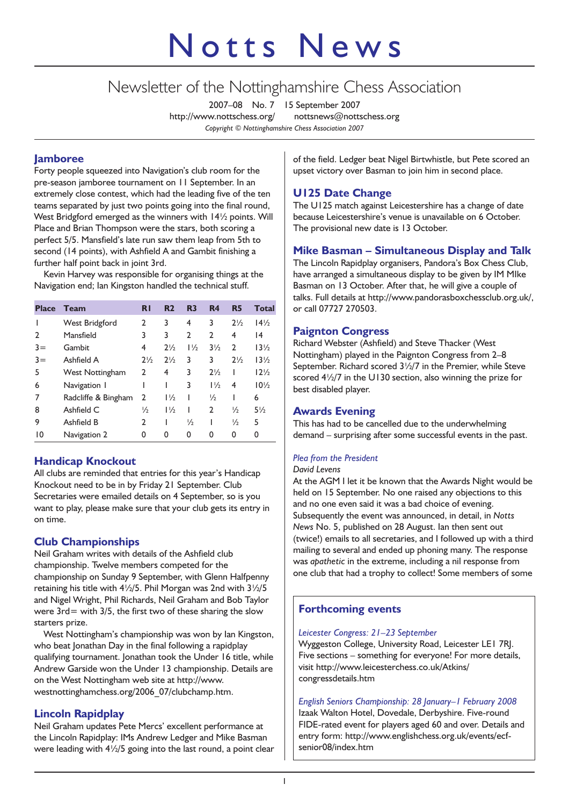# Notts News

# Newsletter of the Nottinghamshire Chess Association

2007–08 No. 7 15 September 2007 http://www.nottschess.org/ nottsnews@nottschess.org *Copyright © Nottinghamshire Chess Association 2007*

# **Jamboree**

Forty people squeezed into Navigation's club room for the pre-season jamboree tournament on 11 September. In an extremely close contest, which had the leading five of the ten teams separated by just two points going into the final round, West Bridgford emerged as the winners with 14½ points. Will Place and Brian Thompson were the stars, both scoring a perfect 5/5. Mansfield's late run saw them leap from 5th to second (14 points), with Ashfield A and Gambit finishing a further half point back in joint 3rd.

Kevin Harvey was responsible for organising things at the Navigation end; Ian Kingston handled the technical stuff.

| <b>Place</b> | <b>Team</b>         | <b>RI</b>      | R <sub>2</sub> | R <sub>3</sub> | R <sub>4</sub> | R <sub>5</sub> | <b>Total</b>    |
|--------------|---------------------|----------------|----------------|----------------|----------------|----------------|-----------------|
|              | West Bridgford      | 2              | 3              | 4              | 3              | $2\frac{1}{2}$ | $14\frac{1}{2}$ |
| C            | Mansfield           | 3              | 3              | $\overline{2}$ | $\mathfrak{p}$ | 4              | $\overline{14}$ |
| $3 =$        | Gambit              | 4              | $2\frac{1}{2}$ | $1\frac{1}{2}$ | $3\frac{1}{2}$ | $\mathbf{2}$   | $13\frac{1}{2}$ |
| $3 =$        | Ashfield A          | $2\frac{1}{2}$ | $2\frac{1}{2}$ | 3              | 3              | $2\frac{1}{2}$ | $13\frac{1}{2}$ |
| 5            | West Nottingham     | $\mathfrak{p}$ | 4              | 3              | $2\frac{1}{2}$ |                | $12\frac{1}{2}$ |
| 6            | Navigation 1        |                |                | 3              | $1\frac{1}{2}$ | 4              | $10\frac{1}{2}$ |
| 7            | Radcliffe & Bingham | $\mathfrak{p}$ | $1\frac{1}{2}$ |                | $\frac{1}{2}$  |                | 6               |
| 8            | Ashfield C          | $\frac{1}{2}$  | $1\frac{1}{2}$ |                | 2              | $\frac{1}{2}$  | $5\frac{1}{2}$  |
| 9            | Ashfield B          | 2              |                | $\frac{1}{2}$  |                | $\frac{1}{2}$  | 5               |
| 10           | Navigation 2        | 0              | 0              | 0              | 0              | 0              | 0               |

# **Handicap Knockout**

All clubs are reminded that entries for this year's Handicap Knockout need to be in by Friday 21 September. Club Secretaries were emailed details on 4 September, so is you want to play, please make sure that your club gets its entry in on time.

# **Club Championships**

Neil Graham writes with details of the Ashfield club championship. Twelve members competed for the championship on Sunday 9 September, with Glenn Halfpenny retaining his title with 4½/5. Phil Morgan was 2nd with 3½/5 and Nigel Wright, Phil Richards, Neil Graham and Bob Taylor were  $3rd =$  with  $3/5$ , the first two of these sharing the slow starters prize.

West Nottingham's championship was won by Ian Kingston, who beat Jonathan Day in the final following a rapidplay qualifying tournament. Jonathan took the Under 16 title, while Andrew Garside won the Under 13 championship. Details are on the West Nottingham web site at http://www. westnottinghamchess.org/2006\_07/clubchamp.htm.

# **Lincoln Rapidplay**

Neil Graham updates Pete Mercs' excellent performance at the Lincoln Rapidplay: IMs Andrew Ledger and Mike Basman were leading with 4½/5 going into the last round, a point clear

of the field. Ledger beat Nigel Birtwhistle, but Pete scored an upset victory over Basman to join him in second place.

# **U125 Date Change**

The U125 match against Leicestershire has a change of date because Leicestershire's venue is unavailable on 6 October. The provisional new date is 13 October.

# **Mike Basman – Simultaneous Display and Talk**

The Lincoln Rapidplay organisers, Pandora's Box Chess Club, have arranged a simultaneous display to be given by IM MIke Basman on 13 October. After that, he will give a couple of talks. Full details at http://www.pandorasboxchessclub.org.uk/, or call 07727 270503.

#### **Paignton Congress**

Richard Webster (Ashfield) and Steve Thacker (West Nottingham) played in the Paignton Congress from 2–8 September. Richard scored 3½/7 in the Premier, while Steve scored  $4\frac{1}{2}$  in the U130 section, also winning the prize for best disabled player.

# **Awards Evening**

This has had to be cancelled due to the underwhelming demand – surprising after some successful events in the past.

# *Plea from the President*

#### *David Levens*

At the AGM I let it be known that the Awards Night would be held on 15 September. No one raised any objections to this and no one even said it was a bad choice of evening. Subsequently the event was announced, in detail, in *Notts News* No. 5, published on 28 August. Ian then sent out (twice!) emails to all secretaries, and I followed up with a third mailing to several and ended up phoning many. The response was *apathetic* in the extreme, including a nil response from one club that had a trophy to collect! Some members of some

# **Forthcoming events**

#### *Leicester Congress: 21–23 September*

Wyggeston College, University Road, Leicester LE1 7RJ. Five sections – something for everyone! For more details, visit http://www.leicesterchess.co.uk/Atkins/ congressdetails.htm

*English Seniors Championship: 28 January–1 February 2008* Izaak Walton Hotel, Dovedale, Derbyshire. Five-round FIDE-rated event for players aged 60 and over. Details and entry form: http://www.englishchess.org.uk/events/ecfsenior08/index.htm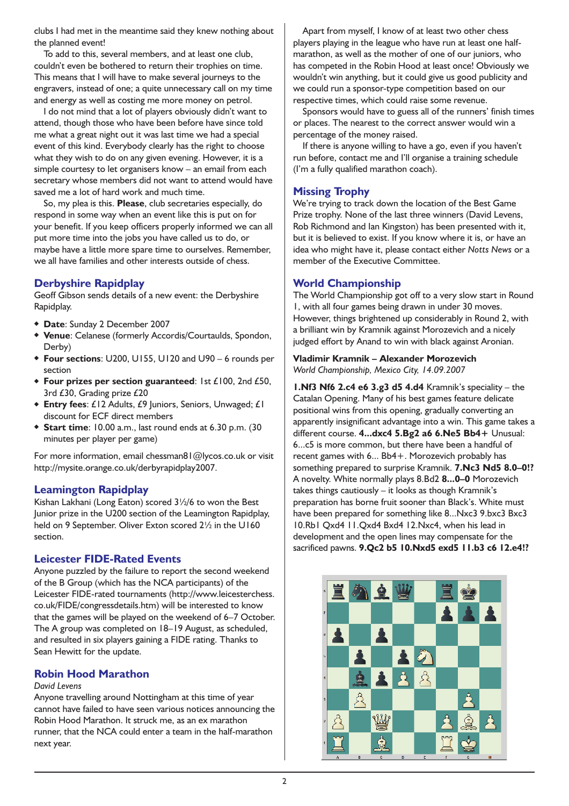clubs I had met in the meantime said they knew nothing about the planned event!

To add to this, several members, and at least one club, couldn't even be bothered to return their trophies on time. This means that I will have to make several journeys to the engravers, instead of one; a quite unnecessary call on my time and energy as well as costing me more money on petrol.

I do not mind that a lot of players obviously didn't want to attend, though those who have been before have since told me what a great night out it was last time we had a special event of this kind. Everybody clearly has the right to choose what they wish to do on any given evening. However, it is a simple courtesy to let organisers know – an email from each secretary whose members did not want to attend would have saved me a lot of hard work and much time.

So, my plea is this. **Please**, club secretaries especially, do respond in some way when an event like this is put on for your benefit. If you keep officers properly informed we can all put more time into the jobs you have called us to do, or maybe have a little more spare time to ourselves. Remember, we all have families and other interests outside of chess.

# **Derbyshire Rapidplay**

Geoff Gibson sends details of a new event: the Derbyshire Rapidplay.

- ◆ **Date**: Sunday 2 December 2007
- ◆ **Venue**: Celanese (formerly Accordis/Courtaulds, Spondon, Derby)
- ◆ **Four sections**: U200, U155, U120 and U90 6 rounds per section
- ◆ **Four prizes per section guaranteed**: 1st £100, 2nd £50, 3rd £30, Grading prize £20
- ◆ **Entry fees**: £12 Adults, £9 Juniors, Seniors, Unwaged; £1 discount for ECF direct members
- ◆ **Start time**: 10.00 a.m., last round ends at 6.30 p.m. (30 minutes per player per game)

For more information, email chessman81@lycos.co.uk or visit http://mysite.orange.co.uk/derbyrapidplay2007.

# **Leamington Rapidplay**

Kishan Lakhani (Long Eaton) scored 3½/6 to won the Best Junior prize in the U200 section of the Leamington Rapidplay, held on 9 September. Oliver Exton scored  $2\frac{1}{2}$  in the U160 section.

#### **Leicester FIDE-Rated Events**

Anyone puzzled by the failure to report the second weekend of the B Group (which has the NCA participants) of the Leicester FIDE-rated tournaments (http://www.leicesterchess. co.uk/FIDE/congressdetails.htm) will be interested to know that the games will be played on the weekend of 6–7 October. The A group was completed on 18–19 August, as scheduled, and resulted in six players gaining a FIDE rating. Thanks to Sean Hewitt for the update.

#### **Robin Hood Marathon**

#### *David Levens*

Anyone travelling around Nottingham at this time of year cannot have failed to have seen various notices announcing the Robin Hood Marathon. It struck me, as an ex marathon runner, that the NCA could enter a team in the half-marathon next year.

Apart from myself, I know of at least two other chess players playing in the league who have run at least one halfmarathon, as well as the mother of one of our juniors, who has competed in the Robin Hood at least once! Obviously we wouldn't win anything, but it could give us good publicity and we could run a sponsor-type competition based on our respective times, which could raise some revenue.

Sponsors would have to guess all of the runners' finish times or places. The nearest to the correct answer would win a percentage of the money raised.

If there is anyone willing to have a go, even if you haven't run before, contact me and I'll organise a training schedule (I'm a fully qualified marathon coach).

# **Missing Trophy**

We're trying to track down the location of the Best Game Prize trophy. None of the last three winners (David Levens, Rob Richmond and Ian Kingston) has been presented with it, but it is believed to exist. If you know where it is, or have an idea who might have it, please contact either *Notts News* or a member of the Executive Committee.

# **World Championship**

The World Championship got off to a very slow start in Round 1, with all four games being drawn in under 30 moves. However, things brightened up considerably in Round 2, with a brilliant win by Kramnik against Morozevich and a nicely judged effort by Anand to win with black against Aronian.

#### **Vladimir Kramnik – Alexander Morozevich**

*World Championship, Mexico City, 14.09.2007*

**1.Nf3 Nf6 2.c4 e6 3.g3 d5 4.d4** Kramnik's speciality – the Catalan Opening. Many of his best games feature delicate positional wins from this opening, gradually converting an apparently insignificant advantage into a win. This game takes a different course. **4...dxc4 5.Bg2 a6 6.Ne5 Bb4+** Unusual: 6...c5 is more common, but there have been a handful of recent games with 6... Bb4+. Morozevich probably has something prepared to surprise Kramnik. **7.Nc3 Nd5 8.0–0!?** A novelty. White normally plays 8.Bd2 **8...0–0** Morozevich takes things cautiously – it looks as though Kramnik's preparation has borne fruit sooner than Black's. White must have been prepared for something like 8...Nxc3 9.bxc3 Bxc3 10.Rb1 Qxd4 11.Qxd4 Bxd4 12.Nxc4, when his lead in development and the open lines may compensate for the sacrificed pawns. **9.Qc2 b5 10.Nxd5 exd5 11.b3 c6 12.e4!?**

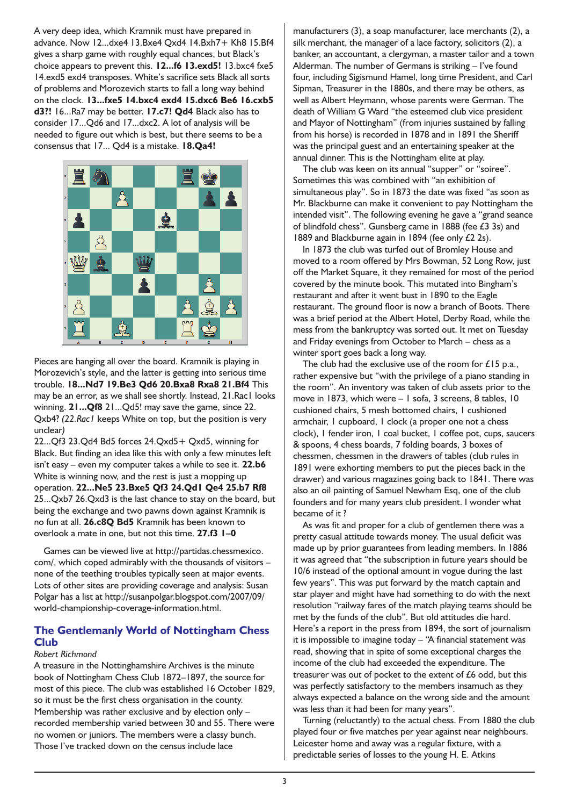A very deep idea, which Kramnik must have prepared in advance. Now 12...dxe4 13.Bxe4 Qxd4 14.Bxh7+ Kh8 15.Bf4 gives a sharp game with roughly equal chances, but Black's choice appears to prevent this. **12...f6 13.exd5!** 13.bxc4 fxe5 14.exd5 exd4 transposes. White's sacrifice sets Black all sorts of problems and Morozevich starts to fall a long way behind on the clock. **13...fxe5 14.bxc4 exd4 15.dxc6 Be6 16.cxb5 d3?!** 16...Ra7 may be better. **17.c7! Qd4** Black also has to consider 17...Qd6 and 17...dxc2. A lot of analysis will be needed to figure out which is best, but there seems to be a consensus that 17... Qd4 is a mistake. **18.Qa4!**



Pieces are hanging all over the board. Kramnik is playing in Morozevich's style, and the latter is getting into serious time trouble. **18...Nd7 19.Be3 Qd6 20.Bxa8 Rxa8 21.Bf4** This may be an error, as we shall see shortly. Instead, 21.Rac1 looks winning. **21...Qf8** 21...Qd5! may save the game, since 22. Qxb4? *(22.Rac1* keeps White on top, but the position is very unclear*)*

22...Qf3 23.Qd4 Bd5 forces 24.Qxd5+ Qxd5, winning for Black. But finding an idea like this with only a few minutes left isn't easy – even my computer takes a while to see it. **22.b6** White is winning now, and the rest is just a mopping up operation. **22...Ne5 23.Bxe5 Qf3 24.Qd1 Qe4 25.b7 Rf8** 25...Qxb7 26.Qxd3 is the last chance to stay on the board, but being the exchange and two pawns down against Kramnik is no fun at all. **26.c8Q Bd5** Kramnik has been known to overlook a mate in one, but not this time. **27.f3 1–0**

Games can be viewed live at http://partidas.chessmexico. com/, which coped admirably with the thousands of visitors – none of the teething troubles typically seen at major events. Lots of other sites are providing coverage and analysis: Susan Polgar has a list at http://susanpolgar.blogspot.com/2007/09/ world-championship-coverage-information.html.

# **The Gentlemanly World of Nottingham Chess Club**

#### *Robert Richmond*

A treasure in the Nottinghamshire Archives is the minute book of Nottingham Chess Club 1872–1897, the source for most of this piece. The club was established 16 October 1829, so it must be the first chess organisation in the county. Membership was rather exclusive and by election only – recorded membership varied between 30 and 55. There were no women or juniors. The members were a classy bunch. Those I've tracked down on the census include lace

manufacturers (3), a soap manufacturer, lace merchants (2), a silk merchant, the manager of a lace factory, solicitors (2), a banker, an accountant, a clergyman, a master tailor and a town Alderman. The number of Germans is striking – I've found four, including Sigismund Hamel, long time President, and Carl Sipman, Treasurer in the 1880s, and there may be others, as well as Albert Heymann, whose parents were German. The death of William G Ward "the esteemed club vice president and Mayor of Nottingham" (from injuries sustained by falling from his horse) is recorded in 1878 and in 1891 the Sheriff was the principal guest and an entertaining speaker at the annual dinner. This is the Nottingham elite at play.

The club was keen on its annual "supper" or "soiree". Sometimes this was combined with "an exhibition of simultaneous play". So in 1873 the date was fixed "as soon as Mr. Blackburne can make it convenient to pay Nottingham the intended visit". The following evening he gave a "grand seance of blindfold chess". Gunsberg came in 1888 (fee £3 3s) and 1889 and Blackburne again in 1894 (fee only £2 2s).

In 1873 the club was turfed out of Bromley House and moved to a room offered by Mrs Bowman, 52 Long Row, just off the Market Square, it they remained for most of the period covered by the minute book. This mutated into Bingham's restaurant and after it went bust in 1890 to the Eagle restaurant. The ground floor is now a branch of Boots. There was a brief period at the Albert Hotel, Derby Road, while the mess from the bankruptcy was sorted out. It met on Tuesday and Friday evenings from October to March – chess as a winter sport goes back a long way.

The club had the exclusive use of the room for £15 p.a., rather expensive but "with the privilege of a piano standing in the room". An inventory was taken of club assets prior to the move in 1873, which were – 1 sofa, 3 screens, 8 tables, 10 cushioned chairs, 5 mesh bottomed chairs, 1 cushioned armchair, 1 cupboard, 1 clock (a proper one not a chess clock), 1 fender iron, 1 coal bucket, 1 coffee pot, cups, saucers & spoons, 4 chess boards, 7 folding boards, 3 boxes of chessmen, chessmen in the drawers of tables (club rules in 1891 were exhorting members to put the pieces back in the drawer) and various magazines going back to 1841. There was also an oil painting of Samuel Newham Esq, one of the club founders and for many years club president. I wonder what became of it ?

As was fit and proper for a club of gentlemen there was a pretty casual attitude towards money. The usual deficit was made up by prior guarantees from leading members. In 1886 it was agreed that "the subscription in future years should be 10/6 instead of the optional amount in vogue during the last few years". This was put forward by the match captain and star player and might have had something to do with the next resolution "railway fares of the match playing teams should be met by the funds of the club". But old attitudes die hard. Here's a report in the press from 1894, the sort of journalism it is impossible to imagine today – "A financial statement was read, showing that in spite of some exceptional charges the income of the club had exceeded the expenditure. The treasurer was out of pocket to the extent of £6 odd, but this was perfectly satisfactory to the members insamuch as they always expected a balance on the wrong side and the amount was less than it had been for many years".

Turning (reluctantly) to the actual chess. From 1880 the club played four or five matches per year against near neighbours. Leicester home and away was a regular fixture, with a predictable series of losses to the young H. E. Atkins